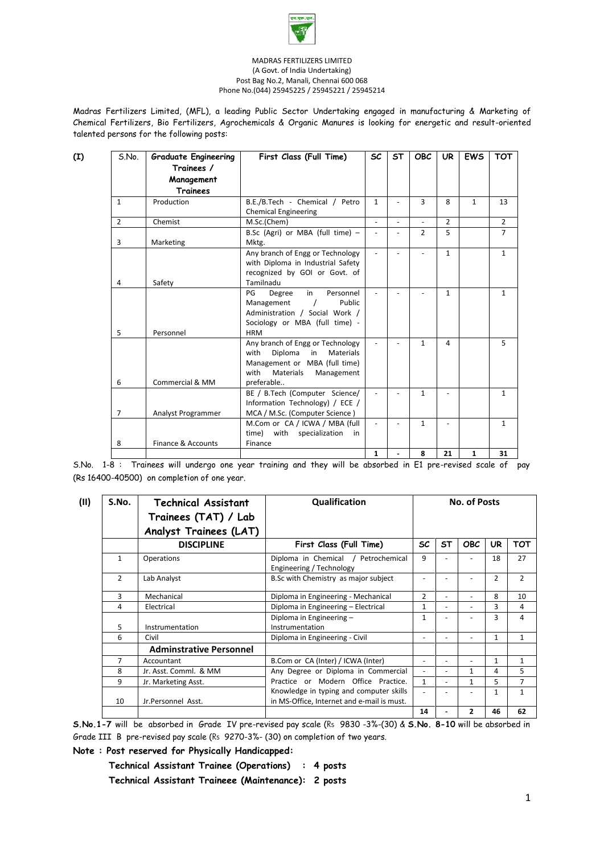

#### MADRAS FERTILIZERS LIMITED (A Govt. of India Undertaking) Post Bag No.2, Manali, Chennai 600 068 Phone No.(044) 25945225 / 25945221 / 25945214

Madras Fertilizers Limited, (MFL), a leading Public Sector Undertaking engaged in manufacturing & Marketing of Chemical Fertilizers, Bio Fertilizers, Agrochemicals & Organic Manures is looking for energetic and result-oriented talented persons for the following posts:

| (I) | S.No.          | <b>Graduate Engineering</b> | First Class (Full Time)                                                                                                                                         | <b>SC</b>    | ST             | <b>OBC</b>     | <b>UR</b>      | <b>EWS</b>   | <b>TOT</b>     |
|-----|----------------|-----------------------------|-----------------------------------------------------------------------------------------------------------------------------------------------------------------|--------------|----------------|----------------|----------------|--------------|----------------|
|     |                | Trainees /                  |                                                                                                                                                                 |              |                |                |                |              |                |
|     |                | Management                  |                                                                                                                                                                 |              |                |                |                |              |                |
|     |                | <b>Trainees</b>             |                                                                                                                                                                 |              |                |                |                |              |                |
|     | $\mathbf{1}$   | Production                  | B.E./B.Tech - Chemical / Petro<br><b>Chemical Engineering</b>                                                                                                   | $\mathbf{1}$ |                | 3              | 8              | $\mathbf{1}$ | 13             |
|     | $\overline{2}$ | Chemist                     | M.Sc.(Chem)                                                                                                                                                     |              | ÷,             | $\overline{a}$ | $\mathcal{P}$  |              | $\overline{2}$ |
|     | 3              | Marketing                   | B.Sc (Agri) or MBA (full time) -<br>Mktg.                                                                                                                       |              | $\overline{a}$ | $\overline{2}$ | 5              |              | $\overline{7}$ |
|     | 4              | Safety                      | Any branch of Engg or Technology<br>with Diploma in Industrial Safety<br>recognized by GOI or Govt. of<br>Tamilnadu                                             |              |                |                | $\mathbf{1}$   |              | $\mathbf{1}$   |
|     | 5              | Personnel                   | in<br>PG<br>Degree<br>Personnel<br>Management<br>Public<br>Administration / Social Work /<br>Sociology or MBA (full time) -<br><b>HRM</b>                       |              |                |                | $\mathbf{1}$   |              | $\mathbf{1}$   |
|     | 6              | Commercial & MM             | Any branch of Engg or Technology<br>Diploma<br><b>Materials</b><br>with<br>in<br>Management or MBA (full time)<br>Materials<br>with<br>Management<br>preferable |              |                | $\mathbf{1}$   | 4              |              | 5              |
|     | $\overline{7}$ | Analyst Programmer          | BE / B.Tech (Computer Science/<br>Information Technology) / ECE /<br>MCA / M.Sc. (Computer Science)                                                             |              |                | $\mathbf{1}$   |                |              | $\mathbf{1}$   |
|     |                |                             | M.Com or CA / ICWA / MBA (full<br>with specialization<br>time)<br>in                                                                                            | $\sim$       | L,             | $\mathbf{1}$   | $\overline{a}$ |              | $\mathbf{1}$   |
|     | 8              | Finance & Accounts          | Finance                                                                                                                                                         |              |                |                |                |              |                |
|     |                |                             |                                                                                                                                                                 | $\mathbf{1}$ | L.             | 8              | 21             | $\mathbf{1}$ | 31             |

S.No. 1-8 : Trainees will undergo one year training and they will be absorbed in E1 pre-revised scale of pay (Rs 16400-40500) on completion of one year.

| S.No.        | <b>Technical Assistant</b><br>Trainees (TAT) / Lab | Qualification                                                                         | <b>No. of Posts</b>      |                          |              |                |                |  |
|--------------|----------------------------------------------------|---------------------------------------------------------------------------------------|--------------------------|--------------------------|--------------|----------------|----------------|--|
|              | Analyst Trainees (LAT)                             |                                                                                       |                          |                          |              |                |                |  |
|              | <b>DISCIPLINE</b>                                  | First Class (Full Time)                                                               | SC                       | <b>ST</b>                | <b>OBC</b>   | <b>UR</b>      | <b>TOT</b>     |  |
| $\mathbf{1}$ | Operations                                         | Diploma in Chemical / Petrochemical<br>Engineering / Technology                       | 9                        |                          |              | 18             | 27             |  |
| 2            | Lab Analyst                                        | B.Sc with Chemistry as major subject                                                  |                          |                          |              | $\overline{2}$ | $\overline{2}$ |  |
| $\mathbf{a}$ | Mechanical                                         | Diploma in Engineering - Mechanical                                                   | $\overline{2}$           | ٠                        | Ξ.           | 8              | 10             |  |
| 4            | Electrical                                         | Diploma in Engineering - Electrical                                                   | 1                        | $\overline{\phantom{0}}$ | ٠            | 3              | 4              |  |
|              |                                                    | Diploma in Engineering -                                                              | $\mathbf{1}$             |                          |              | 3              | 4              |  |
| 5            | Instrumentation                                    | Instrumentation                                                                       |                          |                          |              |                |                |  |
| 6            | Civil                                              | Diploma in Engineering - Civil                                                        | $\overline{\phantom{a}}$ |                          |              | $\mathbf{1}$   | $\mathbf{1}$   |  |
|              | <b>Adminstrative Personnel</b>                     |                                                                                       |                          |                          |              |                |                |  |
| 7            | Accountant                                         | B.Com or CA (Inter) / ICWA (Inter)                                                    | $\overline{\phantom{a}}$ |                          |              | $\mathbf{1}$   | 1              |  |
| 8            | Jr. Asst. Comml. & MM                              | Any Degree or Diploma in Commercial                                                   | $\overline{a}$           | $\overline{\phantom{0}}$ | 1            | 4              | 5              |  |
| 9            | Jr. Marketing Asst.                                | Practice or Modern Office Practice.                                                   | $\mathbf{1}$             |                          | $\mathbf{1}$ | 5.             | $\overline{7}$ |  |
| 10           | Jr.Personnel Asst.                                 | Knowledge in typing and computer skills<br>in MS-Office, Internet and e-mail is must. | $\overline{a}$           |                          |              | 1              | $\mathbf{1}$   |  |
|              |                                                    |                                                                                       | 14                       |                          | $\mathbf{z}$ | 46             | 62             |  |

**S.No.1-7** will be absorbed in Grade IV pre-revised pay scale (Rs 9830 -3%-(30) & **S.No. 8-10** will be absorbed in Grade III B pre-revised pay scale (Rs 9270-3%- (30) on completion of two years.

**Note : Post reserved for Physically Handicapped:**

 **Technical Assistant Trainee (Operations) : 4 posts Technical Assistant Traineee (Maintenance): 2 posts**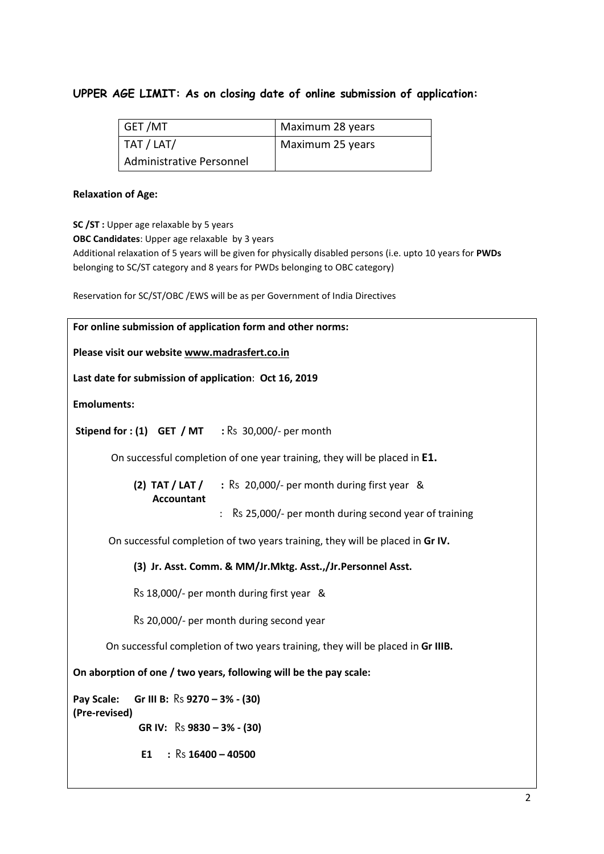# **UPPER AGE LIMIT: As on closing date of online submission of application:**

| GET /MT                  | Maximum 28 years |
|--------------------------|------------------|
| TAT / LAT/               | Maximum 25 years |
| Administrative Personnel |                  |

### **Relaxation of Age:**

**SC /ST :** Upper age relaxable by 5 years

**OBC Candidates**: Upper age relaxable by 3 years

Additional relaxation of 5 years will be given for physically disabled persons (i.e. upto 10 years for **PWDs**  belonging to SC/ST category and 8 years for PWDs belonging to OBC category)

Reservation for SC/ST/OBC /EWS will be as per Government of India Directives

| For online submission of application form and other norms:                      |  |  |  |  |  |  |
|---------------------------------------------------------------------------------|--|--|--|--|--|--|
| Please visit our website www.madrasfert.co.in                                   |  |  |  |  |  |  |
| Last date for submission of application: Oct 16, 2019                           |  |  |  |  |  |  |
| <b>Emoluments:</b>                                                              |  |  |  |  |  |  |
| <b>Stipend for: (1) GET / MT</b> : $\text{Rs } 30,000$ /- per month             |  |  |  |  |  |  |
| On successful completion of one year training, they will be placed in E1.       |  |  |  |  |  |  |
| $(2)$ TAT $/$ LAT $/$<br>: Rs 20,000/- per month during first year &            |  |  |  |  |  |  |
| <b>Accountant</b><br>: Rs 25,000/- per month during second year of training     |  |  |  |  |  |  |
| On successful completion of two years training, they will be placed in Gr IV.   |  |  |  |  |  |  |
| (3) Jr. Asst. Comm. & MM/Jr.Mktg. Asst.,/Jr.Personnel Asst.                     |  |  |  |  |  |  |
| Rs 18,000/- per month during first year &                                       |  |  |  |  |  |  |
| Rs 20,000/- per month during second year                                        |  |  |  |  |  |  |
| On successful completion of two years training, they will be placed in Gr IIIB. |  |  |  |  |  |  |
| On aborption of one / two years, following will be the pay scale:               |  |  |  |  |  |  |
| Pay Scale:<br>Gr III B: $\text{Rs } 9270 - 3\% - (30)$                          |  |  |  |  |  |  |
| (Pre-revised)<br>GR IV: $\text{Rs } 9830 - 3\% - (30)$                          |  |  |  |  |  |  |
| : $Rs$ 16400 - 40500<br>E1                                                      |  |  |  |  |  |  |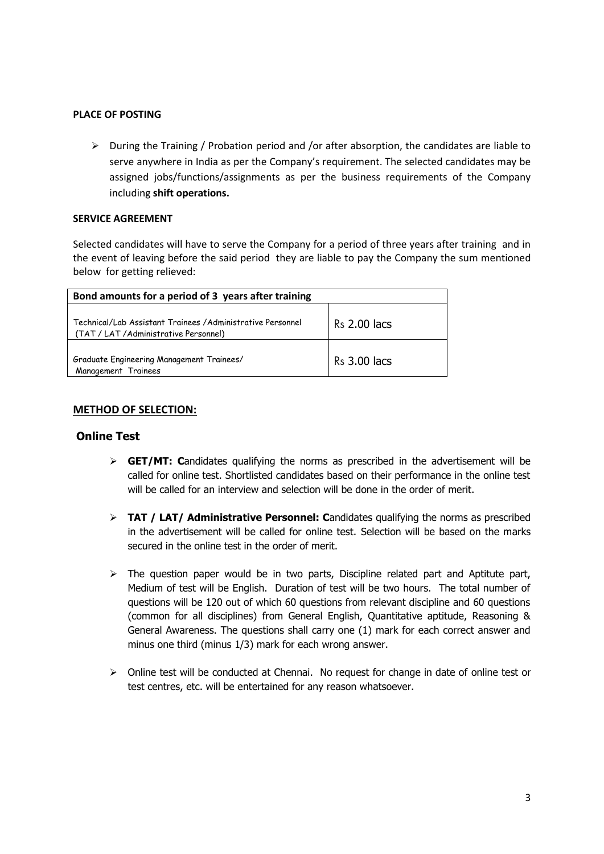#### **PLACE OF POSTING**

 $\triangleright$  During the Training / Probation period and /or after absorption, the candidates are liable to serve anywhere in India as per the Company's requirement. The selected candidates may be assigned jobs/functions/assignments as per the business requirements of the Company including **shift operations.**

#### **SERVICE AGREEMENT**

Selected candidates will have to serve the Company for a period of three years after training and in the event of leaving before the said period they are liable to pay the Company the sum mentioned below for getting relieved:

| Bond amounts for a period of 3 years after training                                                   |              |  |  |  |  |
|-------------------------------------------------------------------------------------------------------|--------------|--|--|--|--|
| Technical/Lab Assistant Trainees / Administrative Personnel<br>(TAT / LAT / Administrative Personnel) | Rs 2.00 lacs |  |  |  |  |
| Graduate Engineering Management Trainees/<br>Management Trainees                                      | Rs 3.00 lacs |  |  |  |  |

## **METHOD OF SELECTION:**

# **Online Test**

- **GET/MT: C**andidates qualifying the norms as prescribed in the advertisement will be called for online test. Shortlisted candidates based on their performance in the online test will be called for an interview and selection will be done in the order of merit.
- **TAT / LAT/ Administrative Personnel: C**andidates qualifying the norms as prescribed in the advertisement will be called for online test. Selection will be based on the marks secured in the online test in the order of merit.
- $\triangleright$  The question paper would be in two parts, Discipline related part and Aptitute part, Medium of test will be English. Duration of test will be two hours. The total number of questions will be 120 out of which 60 questions from relevant discipline and 60 questions (common for all disciplines) from General English, Quantitative aptitude, Reasoning & General Awareness. The questions shall carry one (1) mark for each correct answer and minus one third (minus 1/3) mark for each wrong answer.
- $\triangleright$  Online test will be conducted at Chennai. No request for change in date of online test or test centres, etc. will be entertained for any reason whatsoever.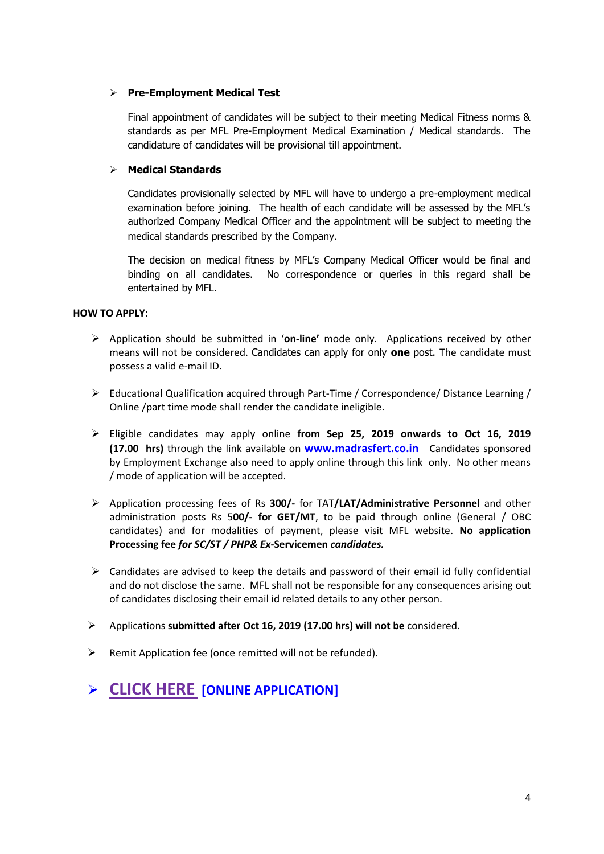# **Pre-Employment Medical Test**

Final appointment of candidates will be subject to their meeting Medical Fitness norms & standards as per MFL Pre-Employment Medical Examination / Medical standards. The candidature of candidates will be provisional till appointment.

# **Medical Standards**

Candidates provisionally selected by MFL will have to undergo a pre-employment medical examination before joining. The health of each candidate will be assessed by the MFL's authorized Company Medical Officer and the appointment will be subject to meeting the medical standards prescribed by the Company.

The decision on medical fitness by MFL's Company Medical Officer would be final and binding on all candidates. No correspondence or queries in this regard shall be entertained by MFL.

## **HOW TO APPLY:**

- Application should be submitted in '**on-line'** mode only. Applications received by other means will not be considered. Candidates can apply for only **one** post. The candidate must possess a valid e-mail ID.
- Educational Qualification acquired through Part-Time / Correspondence/ Distance Learning / Online /part time mode shall render the candidate ineligible.
- Eligible candidates may apply online **from Sep 25, 2019 onwards to Oct 16, 2019 (17.00 hrs)** through the link available on **[www.madrasfert.co.in](http://www.madrasfert.co.in/)** Candidates sponsored by Employment Exchange also need to apply online through this link only. No other means / mode of application will be accepted.
- Application processing fees of Rs **300/-** for TAT**/LAT/Administrative Personnel** and other administration posts Rs 5**00/- for GET/MT**, to be paid through online (General / OBC candidates) and for modalities of payment, please visit MFL website. **No application Processing fee** *for SC/ST / PHP& Ex***-Servicemen** *candidates.*
- $\triangleright$  Candidates are advised to keep the details and password of their email id fully confidential and do not disclose the same. MFL shall not be responsible for any consequences arising out of candidates disclosing their email id related details to any other person.
- Applications **submitted after Oct 16, 2019 (17.00 hrs) will not be** considered.
- $\triangleright$  Remit Application fee (once remitted will not be refunded).

# **[CLICK HERE](https://recruitment.madrasfert.co.in/) [ONLINE APPLICATION]**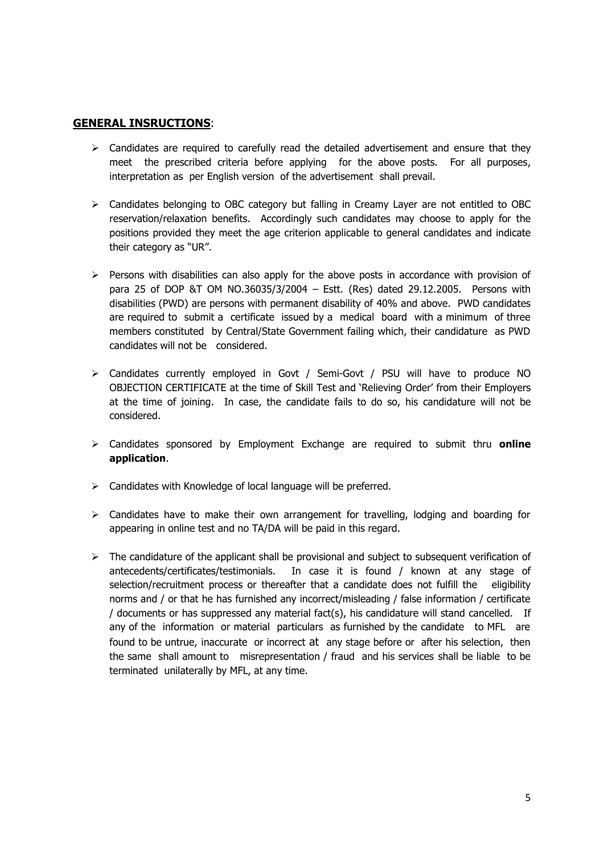### **GENERAL INSRUCTIONS**:

- $\triangleright$  Candidates are required to carefully read the detailed advertisement and ensure that they meet the prescribed criteria before applying for the above posts. For all purposes, interpretation as per English version of the advertisement shall prevail.
- $\triangleright$  Candidates belonging to OBC category but falling in Creamy Layer are not entitled to OBC reservation/relaxation benefits. Accordingly such candidates may choose to apply for the positions provided they meet the age criterion applicable to general candidates and indicate their category as "UR".
- $\triangleright$  Persons with disabilities can also apply for the above posts in accordance with provision of para 25 of DOP &T OM NO.36035/3/2004 – Estt. (Res) dated 29.12.2005. Persons with disabilities (PWD) are persons with permanent disability of 40% and above. PWD candidates are required to submit a certificate issued by a medical board with a minimum of three members constituted by Central/State Government failing which, their candidature as PWD candidates will not be considered.
- Candidates currently employed in Govt / Semi-Govt / PSU will have to produce NO OBJECTION CERTIFICATE at the time of Skill Test and 'Relieving Order' from their Employers at the time of joining. In case, the candidate fails to do so, his candidature will not be considered.
- Candidates sponsored by Employment Exchange are required to submit thru **online application**.
- $\triangleright$  Candidates with Knowledge of local language will be preferred.
- $\triangleright$  Candidates have to make their own arrangement for travelling, lodging and boarding for appearing in online test and no TA/DA will be paid in this regard.
- $\triangleright$  The candidature of the applicant shall be provisional and subject to subsequent verification of antecedents/certificates/testimonials. In case it is found / known at any stage of selection/recruitment process or thereafter that a candidate does not fulfill the eligibility norms and / or that he has furnished any incorrect/misleading / false information / certificate / documents or has suppressed any material fact(s), his candidature will stand cancelled. If any of the information or material particulars as furnished by the candidate to MFL are found to be untrue, inaccurate or incorrect at any stage before or after his selection, then the same shall amount to misrepresentation / fraud and his services shall be liable to be terminated unilaterally by MFL, at any time.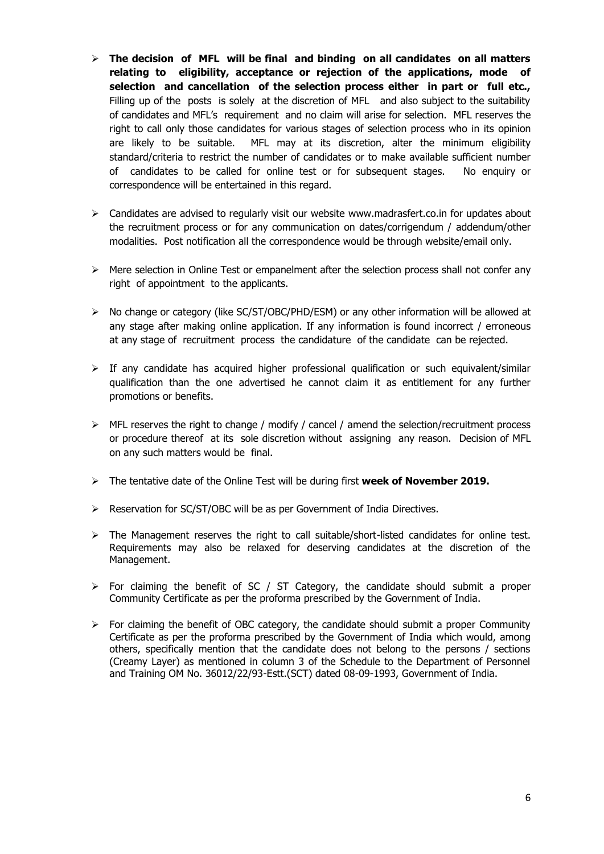- **The decision of MFL will be final and binding on all candidates on all matters relating to eligibility, acceptance or rejection of the applications, mode of selection and cancellation of the selection process either in part or full etc.,** Filling up of the posts is solely at the discretion of MFL and also subject to the suitability of candidates and MFL's requirement and no claim will arise for selection. MFL reserves the right to call only those candidates for various stages of selection process who in its opinion are likely to be suitable. MFL may at its discretion, alter the minimum eligibility standard/criteria to restrict the number of candidates or to make available sufficient number of candidates to be called for online test or for subsequent stages. No enquiry or correspondence will be entertained in this regard.
- $\triangleright$  Candidates are advised to regularly visit our website www.madrasfert.co.in for updates about the recruitment process or for any communication on dates/corrigendum / addendum/other modalities. Post notification all the correspondence would be through website/email only.
- $\triangleright$  Mere selection in Online Test or empanelment after the selection process shall not confer any right of appointment to the applicants.
- No change or category (like SC/ST/OBC/PHD/ESM) or any other information will be allowed at any stage after making online application. If any information is found incorrect / erroneous at any stage of recruitment process the candidature of the candidate can be rejected.
- $\triangleright$  If any candidate has acquired higher professional qualification or such equivalent/similar qualification than the one advertised he cannot claim it as entitlement for any further promotions or benefits.
- $\triangleright$  MFL reserves the right to change / modify / cancel / amend the selection/recruitment process or procedure thereof at its sole discretion without assigning any reason. Decision of MFL on any such matters would be final.
- The tentative date of the Online Test will be during first **week of November 2019.**
- Reservation for SC/ST/OBC will be as per Government of India Directives.
- $\triangleright$  The Management reserves the right to call suitable/short-listed candidates for online test. Requirements may also be relaxed for deserving candidates at the discretion of the Management.
- $\triangleright$  For claiming the benefit of SC / ST Category, the candidate should submit a proper Community Certificate as per the proforma prescribed by the Government of India.
- $\triangleright$  For claiming the benefit of OBC category, the candidate should submit a proper Community Certificate as per the proforma prescribed by the Government of India which would, among others, specifically mention that the candidate does not belong to the persons / sections (Creamy Layer) as mentioned in column 3 of the Schedule to the Department of Personnel and Training OM No. 36012/22/93-Estt.(SCT) dated 08-09-1993, Government of India.